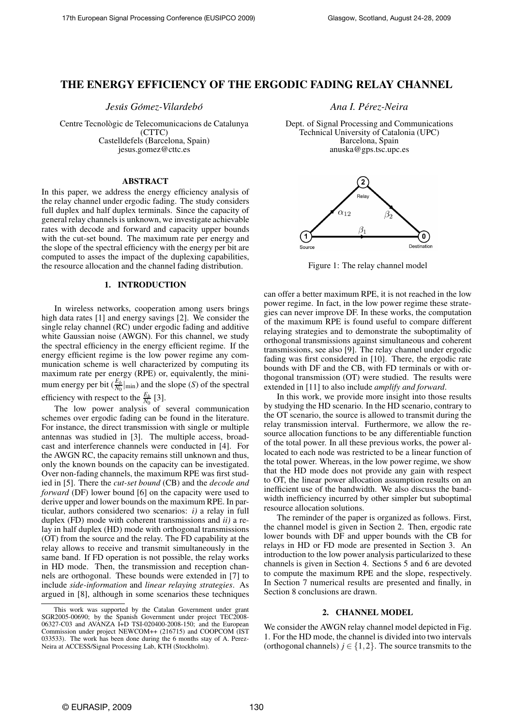# **THE ENERGY EFFICIENCY OF THE ERGODIC FADING RELAY CHANNEL**

*Jesus´ Gomez-V ´ ilardebo´ Ana I. Per´ ez-Neira*

Centre Tecnològic de Telecomunicacions de Catalunya (CTTC) Castelldefels (Barcelona, Spain) jesus.gomez@cttc.es

# **ABSTRACT**

In this paper, we address the energy efficiency analysis of the relay channel under ergodic fading. The study considers full duplex and half duplex terminals. Since the capacity of general relay channels is unknown, we investigate achievable rates with decode and forward and capacity upper bounds with the cut-set bound. The maximum rate per energy and the slope of the spectral efficiency with the energy per bit are computed to asses the impact of the duplexing capabilities, the resource allocation and the channel fading distribution.

# **1. INTRODUCTION**

In wireless networks, cooperation among users brings high data rates [1] and energy savings [2]. We consider the single relay channel (RC) under ergodic fading and additive white Gaussian noise (AWGN). For this channel, we study the spectral efficiency in the energy efficient regime. If the energy efficient regime is the low power regime any communication scheme is well characterized by computing its maximum rate per energy (RPE) or, equivalently, the minimum energy per bit  $(\frac{E_b}{N_0})$  $\frac{E_b}{N_0}|_{\text{min}}$ ) and the slope (*S*) of the spectral efficiency with respect to the  $\frac{E_b}{N_0}$  [3].

The low power analysis of several communication schemes over ergodic fading can be found in the literature. For instance, the direct transmission with single or multiple antennas was studied in [3]. The multiple access, broadcast and interference channels were conducted in [4]. For the AWGN RC, the capacity remains still unknown and thus, only the known bounds on the capacity can be investigated. Over non-fading channels, the maximum RPE was first studied in [5]. There the *cut-set bound* (CB) and the *decode and forward* (DF) lower bound [6] on the capacity were used to derive upper and lower bounds on the maximum RPE. In particular, authors considered two scenarios: *i)* a relay in full duplex (FD) mode with coherent transmissions and *ii)* a relay in half duplex (HD) mode with orthogonal transmissions (OT) from the source and the relay. The FD capability at the relay allows to receive and transmit simultaneously in the same band. If FD operation is not possible, the relay works in HD mode. Then, the transmission and reception channels are orthogonal. These bounds were extended in [7] to include *side-information* and *linear relaying strategies*. As argued in [8], although in some scenarios these techniques

Dept. of Signal Processing and Communications Technical University of Catalonia (UPC) Barcelona, Spain anuska@gps.tsc.upc.es



Figure 1: The relay channel model

can offer a better maximum RPE, it is not reached in the low power regime. In fact, in the low power regime these strategies can never improve DF. In these works, the computation of the maximum RPE is found useful to compare different relaying strategies and to demonstrate the suboptimality of orthogonal transmissions against simultaneous and coherent transmissions, see also [9]. The relay channel under ergodic fading was first considered in [10]. There, the ergodic rate bounds with DF and the CB, with FD terminals or with orthogonal transmission (OT) were studied. The results were extended in [11] to also include *amplify and forward*.

In this work, we provide more insight into those results by studying the HD scenario. In the HD scenario, contrary to the OT scenario, the source is allowed to transmit during the relay transmission interval. Furthermore, we allow the resource allocation functions to be any differentiable function of the total power. In all these previous works, the power allocated to each node was restricted to be a linear function of the total power. Whereas, in the low power regime, we show that the HD mode does not provide any gain with respect to OT, the linear power allocation assumption results on an inefficient use of the bandwidth. We also discuss the bandwidth inefficiency incurred by other simpler but suboptimal resource allocation solutions.

The reminder of the paper is organized as follows. First, the channel model is given in Section 2. Then, ergodic rate lower bounds with DF and upper bounds with the CB for relays in HD or FD mode are presented in Section 3. An introduction to the low power analysis particularized to these channels is given in Section 4. Sections 5 and 6 are devoted to compute the maximum RPE and the slope, respectively. In Section 7 numerical results are presented and finally, in Section 8 conclusions are drawn.

# **2. CHANNEL MODEL**

We consider the AWGN relay channel model depicted in Fig. 1. For the HD mode, the channel is divided into two intervals (orthogonal channels)  $j \in \{1,2\}$ . The source transmits to the

This work was supported by the Catalan Government under grant SGR2005-00690; by the Spanish Government under project TEC2008-06327-C03 and AVANZA I+D TSI-020400-2008-150; and the European Commission under project NEWCOM++ (216715) and COOPCOM (IST 033533). The work has been done during the 6 months stay of A. Perez-Neira at ACCESS/Signal Processing Lab, KTH (Stockholm).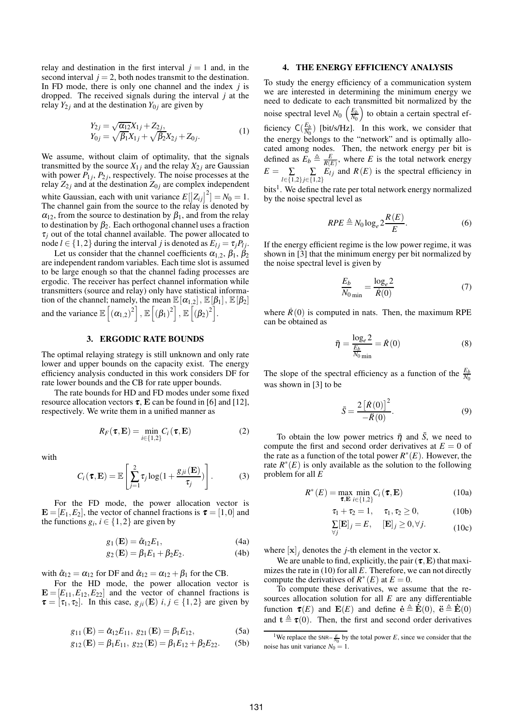relay and destination in the first interval  $j = 1$  and, in the second interval  $j = 2$ , both nodes transmit to the destination. In FD mode, there is only one channel and the index *j* is dropped. The received signals during the interval *j* at the relay  $Y_{2i}$  and at the destination  $Y_{0i}$  are given by

$$
Y_{2j} = \sqrt{\alpha_{12}} X_{1j} + Z_{2j},
$$
  
\n
$$
Y_{0j} = \sqrt{\beta_1} X_{1j} + \sqrt{\beta_2} X_{2j} + Z_{0j}.
$$
\n(1)

We assume, without claim of optimality, that the signals transmitted by the source  $X_{1j}$  and the relay  $X_{2j}$  are Gaussian with power  $P_{1j}$ ,  $P_{2j}$ , respectively. The noise processes at the relay  $Z_{2j}$  and at the destination  $Z_{0j}$  are complex independent white Gaussian, each with unit variance  $E[|Z_{ij}|]$ <br>The channal gain from the source to the relay is  $2^{2}$ ] =  $N_0$  = 1. The channel gain from the source to the relay is denoted by  $\alpha_{12}$ , from the source to destination by  $\beta_1$ , and from the relay to destination by  $\beta_2$ . Each orthogonal channel uses a fraction  $\tau_i$  out of the total channel available. The power allocated to node  $l \in \{1, 2\}$  during the interval *j* is denoted as  $E_{lj} = \tau_j P_{lj}$ .

Let us consider that the channel coefficients  $\alpha_{1,2}, \beta_1, \beta_2$ are independent random variables. Each time slot is assumed to be large enough so that the channel fading processes are ergodic. The receiver has perfect channel information while transmitters (source and relay) only have statistical information of the channel; namely, the mean  $\mathbb{E}[\alpha_{1,2}]$ ,  $\mathbb{E}[\beta_1]$ ,  $\mathbb{E}[\beta_2]$ and the variance  $\mathbb{E}\left[\left(\alpha_{1,2}\right)^2\right], \mathbb{E}\left[\left(\beta_1\right)^2\right], \mathbb{E}\left[\left(\beta_2\right)^2\right].$ 

## **3. ERGODIC RATE BOUNDS**

The optimal relaying strategy is still unknown and only rate lower and upper bounds on the capacity exist. The energy efficiency analysis conducted in this work considers DF for rate lower bounds and the CB for rate upper bounds.

The rate bounds for HD and FD modes under some fixed resource allocation vectors  $\tau$ , **E** can be found in [6] and [12], respectively. We write them in a unified manner as

$$
R_F(\boldsymbol{\tau}, \mathbf{E}) = \min_{i \in \{1, 2\}} C_i(\boldsymbol{\tau}, \mathbf{E})
$$
 (2)

with

$$
C_i(\boldsymbol{\tau}, \mathbf{E}) = \mathbb{E}\left[\sum_{j=1}^2 \tau_j \log(1 + \frac{g_{ji}(\mathbf{E})}{\tau_j})\right].
$$
 (3)

For the FD mode, the power allocation vector is  $\mathbf{E} = [E_1, E_2]$ , the vector of channel fractions is  $\boldsymbol{\tau} = [1, 0]$  and the functions  $g_i$ ,  $i \in \{1,2\}$  are given by

$$
g_1(\mathbf{E}) = \hat{\alpha}_{12} E_1,\tag{4a}
$$

$$
g_2(\mathbf{E}) = \beta_1 E_1 + \beta_2 E_2.
$$
 (4b)

with  $\hat{\alpha}_{12} = \alpha_{12}$  for DF and  $\hat{\alpha}_{12} = \alpha_{12} + \beta_1$  for the CB.

For the HD mode, the power allocation vector is  $\mathbf{E} = [E_{11}, E_{12}, E_{22}]$  and the vector of channel fractions is  $\tau = [\tau_1, \tau_2]$ . In this case,  $g_{ji}(\mathbf{E})$  *i*,  $j \in \{1, 2\}$  are given by

$$
g_{11}(\mathbf{E}) = \hat{\alpha}_{12} E_{11}, \ g_{21}(\mathbf{E}) = \beta_1 E_{12}, \tag{5a}
$$

$$
g_{12}(\mathbf{E}) = \beta_1 E_{11}, g_{22}(\mathbf{E}) = \beta_1 E_{12} + \beta_2 E_{22}.
$$
 (5b)

### **4. THE ENERGY EFFICIENCY ANALYSIS**

To study the energy efficiency of a communication system we are interested in determining the minimum energy we need to dedicate to each transmitted bit normalized by the noise spectral level  $N_0 \left(\frac{E_b}{N_0}\right)$  $\left(\frac{E_b}{N_0}\right)$  to obtain a certain spectral efficiency  $C(\frac{E_b}{N_0})$  $\frac{E_b}{N_0}$ ) [bit/s/Hz]. In this work, we consider that the energy belongs to the "network" and is optimally allocated among nodes. Then, the network energy per bit is defined as  $\overline{E}_b \triangleq \frac{E}{R(E)}$ , where *E* is the total network energy  $E = \sum$ *l*∈{1,2} ∑ *j*∈{1,2}  $E_{lj}$  and  $R(E)$  is the spectral efficiency in

bits<sup>1</sup>. We define the rate per total network energy normalized by the noise spectral level as

$$
RPE \triangleq N_0 \log_e 2 \frac{R(E)}{E}.
$$
 (6)

If the energy efficient regime is the low power regime, it was shown in [3] that the minimum energy per bit normalized by the noise spectral level is given by

$$
\frac{E_b}{N_0}_{\text{min}} = \frac{\log_e 2}{\dot{R}(0)}\tag{7}
$$

where  $\dot{R}(0)$  is computed in nats. Then, the maximum RPE can be obtained as

$$
\bar{\eta} = \frac{\log_e 2}{\frac{E_b}{N_0 \min}} = \dot{R}(0)
$$
\n(8)

The slope of the spectral efficiency as a function of the  $\frac{E_b}{N_0}$ was shown in [3] to be

$$
\bar{S} = \frac{2\left[\dot{R}(0)\right]^2}{-\ddot{R}(0)}.
$$
\n(9)

To obtain the low power metrics  $\bar{\eta}$  and  $\bar{S}$ , we need to compute the first and second order derivatives at  $E = 0$  of the rate as a function of the total power  $R^*(E)$ . However, the rate  $R^*(E)$  is only available as the solution to the following problem for all *E*

$$
R^*(E) = \max_{\boldsymbol{\tau}, \mathbf{E}} \min_{i \in \{1, 2\}} C_i(\boldsymbol{\tau}, \mathbf{E})
$$
 (10a)

$$
\tau_1+\tau_2=1,\quad \ \tau_1,\tau_2\geq 0,\qquad \qquad (10b)
$$

$$
\sum_{\forall j} [\mathbf{E}]_j = E, \quad [\mathbf{E}]_j \ge 0, \forall j. \tag{10c}
$$

where  $[\mathbf{x}]_j$  denotes the *j*-th element in the vector **x**.

We are unable to find, explicitly, the pair  $(\tau, E)$  that maximizes the rate in (10) for all *E*. Therefore, we can not directly compute the derivatives of  $R^*(E)$  at  $E = 0$ .

To compute these derivatives, we assume that the resources allocation solution for all *E* are any differentiable function  $\tau(E)$  and  $\mathbf{E}(E)$  and define  $\dot{\mathbf{e}} \triangleq \dot{\mathbf{E}}(0)$ ,  $\ddot{\mathbf{e}} \triangleq \dot{\mathbf{E}}(0)$ and  $\mathbf{t} \triangleq \boldsymbol{\tau}(0)$ . Then, the first and second order derivatives

<sup>&</sup>lt;sup>1</sup>We replace the  $SNR = \frac{E}{N_0}$  by the total power *E*, since we consider that the noise has unit variance  $N_0 = 1$ .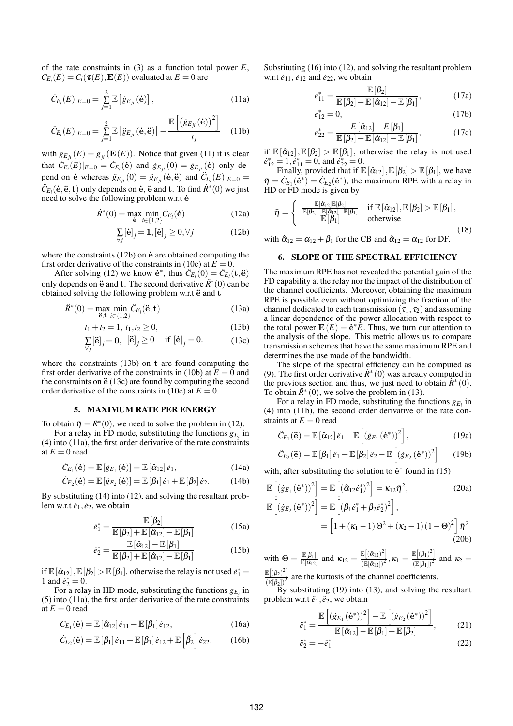of the rate constraints in (3) as a function total power *E*,  $C_{E_i}(E) = C_i(\tau(E), \mathbf{E}(E))$  evaluated at  $E = 0$  are

$$
\dot{C}_{E_i}(E)|_{E=0} = \sum_{j=1}^{2} \mathbb{E} \left[ \dot{g}_{E_{ji}}(\dot{\mathbf{e}}) \right],
$$
 (11a)

$$
\ddot{C}_{E_i}(E)|_{E=0} = \sum_{j=1}^{2} \mathbb{E}\left[\ddot{g}_{E_{ji}}(\dot{\mathbf{e}}, \ddot{\mathbf{e}})\right] - \frac{\mathbb{E}\left[\left(\dot{g}_{E_{ji}}(\dot{\mathbf{e}})\right)^2\right]}{t_j}
$$
(11b)

with  $g_{E_{ji}}(E) = g_{ji}(\mathbf{E}(E))$ . Notice that given (11) it is clear that  $\dot{C}_{E_i}(E)|_{E=0} = \dot{C}_{E_i}(\dot{e})$  and  $\dot{g}_{E_{ji}}(0) = \dot{g}_{E_{ji}}(\dot{e})$  only depend on e whereas  $\ddot{g}_{E_{ji}}(0) = \ddot{g}_{E_{ji}}(e, \ddot{e})$  and  $\ddot{C}_{E_i}(E)|_{E=0} =$  $\ddot{C}_{E_i}(\dot{\mathbf{e}}, \ddot{\mathbf{e}}, \dot{\mathbf{t}})$  only depends on  $\dot{\mathbf{e}}, \ddot{\mathbf{e}}$  and  $\dot{\mathbf{t}}$ . To find  $\dot{R}^*(0)$  we just need to solve the following problem w.r.t  $\dot{e}$ 

$$
\dot{R}^*(0) = \max_{\dot{e}} \min_{i \in \{1,2\}} \dot{C}_{E_i}(\dot{e})
$$
 (12a)

$$
\sum_{\forall j} [\dot{\mathbf{e}}]_j = \mathbf{1}, [\dot{\mathbf{e}}]_j \ge 0, \forall j \tag{12b}
$$

where the constraints  $(12b)$  on  $\dot{e}$  are obtained computing the first order derivative of the constraints in (10c) at  $E = 0$ .

After solving (12) we know  $\dot{\mathbf{e}}^*$ , thus  $\ddot{C}_{E_l}(0) = \ddot{C}_{E_l}(\mathbf{t}, \ddot{\mathbf{e}})$ only depends on  $\ddot{e}$  and  $f$ . The second derivative  $\ddot{R}$ <sup>∗</sup>(0) can be obtained solving the following problem w.r.t  $\ddot{e}$  and  $t$ 

$$
\dot{R}^*(0) = \max_{\ddot{\mathbf{e}}, \mathbf{t}} \min_{i \in \{1, 2\}} \ddot{C}_{E_i}(\ddot{\mathbf{e}}, \mathbf{t})
$$
(13a)

$$
t_1 + t_2 = 1, t_1, t_2 \ge 0,
$$
\n(13b)

$$
\sum_{\forall j} [\ddot{\mathbf{e}}]_j = \mathbf{0}, \ [\ddot{\mathbf{e}}]_j \ge 0 \quad \text{if } [\dot{\mathbf{e}}]_j = 0. \tag{13c}
$$

where the constraints (13b) on t are found computing the first order derivative of the constraints in (10b) at  $E = 0$  and the constraints on  $\ddot{\mathbf{e}}$  (13c) are found by computing the second order derivative of the constraints in (10c) at  $E = 0$ .

## **5. MAXIMUM RATE PER ENERGY**

To obtain  $\bar{\eta} = \dot{R}^*(0)$ , we need to solve the problem in (12).

For a relay in FD mode, substituting the functions  $g_{E_i}$  in (4) into (11a), the first order derivative of the rate constraints at  $E = 0$  read

$$
\dot{C}_{E_1}(\dot{\mathbf{e}}) = \mathbb{E}\left[\dot{g}_{E_1}(\dot{\mathbf{e}})\right] = \mathbb{E}\left[\hat{\alpha}_{12}\right]\dot{e}_1, \tag{14a}
$$

$$
\dot{C}_{E_2}(\dot{\mathbf{e}}) = \mathbb{E}\left[\dot{g}_{E_2}(\dot{\mathbf{e}})\right] = \mathbb{E}\left[\beta_1\right]\dot{e}_1 + \mathbb{E}\left[\beta_2\right]\dot{e}_2. \tag{14b}
$$

By substituting (14) into (12), and solving the resultant problem w.r.t  $\dot{e}_1, \dot{e}_2$ , we obtain

$$
\dot{e}_1^* = \frac{\mathbb{E}\left[\beta_2\right]}{\mathbb{E}\left[\beta_2\right] + \mathbb{E}\left[\hat{\alpha}_{12}\right] - \mathbb{E}\left[\beta_1\right]},\tag{15a}
$$

$$
\dot{e}_{2}^{*} = \frac{\mathbb{E}\left[\hat{\alpha}_{12}\right] - \mathbb{E}\left[\beta_{1}\right]}{\mathbb{E}\left[\beta_{2}\right] + \mathbb{E}\left[\hat{\alpha}_{12}\right] - \mathbb{E}\left[\beta_{1}\right]}
$$
(15b)

if  $\mathbb{E}[\hat{\alpha}_{12}], \mathbb{E}[\beta_2] > \mathbb{E}[\beta_1]$ , otherwise the relay is not used  $\dot{e}_1^* =$ 1 and  $\dot{e}_2^* = 0$ .

For a relay in HD mode, substituting the functions  $g_{E_i}$  in (5) into (11a), the first order derivative of the rate constraints at  $E = 0$  read

$$
\dot{C}_{E_1}(\dot{\mathbf{e}}) = \mathbb{E}\left[\hat{\alpha}_{12}\right]\dot{e}_{11} + \mathbb{E}\left[\beta_1\right]\dot{e}_{12},\tag{16a}
$$

$$
\dot{C}_{E_2}(\dot{\mathbf{e}}) = \mathbb{E}\left[\beta_1\right]\dot{e}_{11} + \mathbb{E}\left[\beta_1\right]\dot{e}_{12} + \mathbb{E}\left[\hat{\beta}_2\right]\dot{e}_{22}.
$$
 (16b)

Substituting (16) into (12), and solving the resultant problem w.r.t  $\dot{e}_{11}$ ,  $\dot{e}_{12}$  and  $\dot{e}_{22}$ , we obtain

$$
\dot{e}_{11}^* = \frac{\mathbb{E}\left[\beta_2\right]}{\mathbb{E}\left[\beta_2\right] + \mathbb{E}\left[\hat{\alpha}_{12}\right] - \mathbb{E}\left[\beta_1\right]},\tag{17a}
$$

$$
\dot{e}_{12}^* = 0,\t(17b)
$$

$$
\dot{e}_{22}^* = \frac{E\left[\hat{\alpha}_{12}\right] - E\left[\beta_1\right]}{\mathbb{E}\left[\beta_2\right] + \mathbb{E}\left[\hat{\alpha}_{12}\right] - \mathbb{E}\left[\beta_1\right]},\tag{17c}
$$

if  $\mathbb{E}[\hat{\alpha}_{12}], \mathbb{E}[\beta_2] > \mathbb{E}[\beta_1]$ , otherwise the relay is not used  $e_{12}^* = 1, e_{11}^* = 0$ , and  $e_{22}^* = 0$ .

Finally, provided that if  $\mathbb{E}[\hat{\alpha}_{12}], \mathbb{E}[\beta_2] > \mathbb{E}[\beta_1]$ , we have  $\bar{\eta} = \dot{C}_{E_1}(\dot{\mathbf{e}}^*) = \dot{C}_{E_2}(\dot{\mathbf{e}}^*)$ , the maximum RPE with a relay in HD or FD mode is given by

$$
\bar{\eta} = \begin{cases} \begin{array}{ll} \frac{\mathbb{E}[\hat{\alpha}_{12}]\mathbb{E}[\beta_2]}{\mathbb{E}[\beta_{12}] + \mathbb{E}[\hat{\alpha}_{12}] - \mathbb{E}[\beta_1]} & \text{if } \mathbb{E}\left[\hat{\alpha}_{12}\right], \mathbb{E}\left[\beta_2\right] > \mathbb{E}\left[\beta_1\right], \\ \mathbb{E}\left[\beta_1\right] & \text{otherwise} \end{array} \end{cases} \tag{18}
$$

with  $\hat{\alpha}_{12} = \alpha_{12} + \beta_1$  for the CB and  $\hat{\alpha}_{12} = \alpha_{12}$  for DF.

### **6. SLOPE OF THE SPECTRAL EFFICIENCY**

The maximum RPE has not revealed the potential gain of the FD capability at the relay nor the impact of the distribution of the channel coefficients. Moreover, obtaining the maximum RPE is possible even without optimizing the fraction of the channel dedicated to each transmission ( $\tau_1, \tau_2$ ) and assuming a linear dependence of the power allocation with respect to the total power  $\mathbf{E}(E) = \dot{\mathbf{e}}^* \dot{E}$ . Thus, we turn our attention to the analysis of the slope. This metric allows us to compare transmission schemes that have the same maximum RPE and determines the use made of the bandwidth.

The slope of the spectral efficiency can be computed as (9). The first order derivative  $\dot{R}$ <sup>\*</sup> (0) was already computed in the previous section and thus, we just need to obtain  $\ddot{R}$ <sup>∗</sup> (0). To obtain  $\ddot{R}$ <sup>\*</sup> (0), we solve the problem in (13).

For a relay in FD mode, substituting the functions  $g_{E_i}$  in (4) into (11b), the second order derivative of the rate constraints at  $E = 0$  read

$$
\ddot{C}_{E_1}(\ddot{\mathbf{e}}) = \mathbb{E}\left[\hat{\alpha}_{12}\right]\ddot{e}_1 - \mathbb{E}\left[\left(\dot{g}_{E_1}\left(\dot{\mathbf{e}}^*\right)\right)^2\right],\tag{19a}
$$

$$
\ddot{C}_{E_2}(\ddot{\mathbf{e}}) = \mathbb{E}\left[\beta_1\right]\ddot{e}_1 + \mathbb{E}\left[\beta_2\right]\ddot{e}_2 - \mathbb{E}\left[\left(\dot{g}_{E_2}\left(\dot{\mathbf{e}}^*\right)\right)^2\right] \tag{19b}
$$

with, after substituting the solution to  $\dot{\mathbf{e}}^*$  found in (15)

$$
\mathbb{E}\left[ (\dot{g}_{E_1}(\dot{\mathbf{e}}^*))^2 \right] = \mathbb{E}\left[ (\hat{\alpha}_{12}\dot{e}_1^*)^2 \right] = \kappa_{12}\bar{\eta}^2, \tag{20a}
$$
\n
$$
\mathbb{E}\left[ (\dot{g}_{E_2}(\dot{\mathbf{e}}^*))^2 \right] = \mathbb{E}\left[ (\beta_1\dot{e}_1^* + \beta_2\dot{e}_2^*)^2 \right],
$$

$$
= \left[1 + (\kappa_1 - 1)\Theta^2 + (\kappa_2 - 1)(1 - \Theta)^2\right]\bar{\eta}^2
$$
\n(20b)

with 
$$
\Theta = \frac{\mathbb{E}[\beta_1]}{\mathbb{E}[\hat{\alpha}_{12}]}
$$
 and  $\kappa_{12} = \frac{\mathbb{E}[(\hat{\alpha}_{12})^2]}{(\mathbb{E}[\hat{\alpha}_{12}])^2}$ ,  $\kappa_1 = \frac{\mathbb{E}[(\beta_1)^2]}{(\mathbb{E}[\beta_1])^2}$  and  $\kappa_2 = \frac{\mathbb{E}[(\beta_2)^2]}{(\mathbb{E}[\beta_2])^2}$  are the kurtosis of the channel coefficients.

By substituting (19) into (13), and solving the resultant problem w.r.t  $\ddot{e}_1, \ddot{e}_2$ , we obtain

$$
\ddot{e}_{1}^{*} = \frac{\mathbb{E}\left[\left(\dot{g}_{E_{1}}\left(\dot{\mathbf{e}}^{*}\right)\right)^{2}\right] - \mathbb{E}\left[\left(\dot{g}_{E_{2}}\left(\dot{\mathbf{e}}^{*}\right)\right)^{2}\right]}{\mathbb{E}\left[\hat{\alpha}_{12}\right] - \mathbb{E}\left[\beta_{1}\right] + \mathbb{E}\left[\beta_{2}\right]},\tag{21}
$$

$$
\ddot{e}_2^* = -\ddot{e}_1^* \tag{22}
$$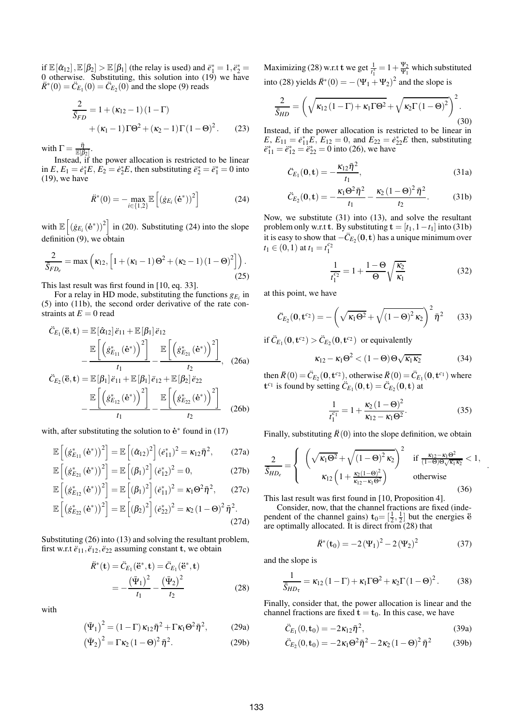if  $\mathbb{E}[\hat{\alpha}_{12}], \mathbb{E}[\beta_2] > \mathbb{E}[\beta_1]$  (the relay is used) and  $\ddot{e}_1^* = 1, \ddot{e}_2^* =$ 0 otherwise. Substituting, this solution into (19) we have  $\ddot{R}$ <sup>\*</sup>(0) =  $\ddot{C}_{E_1}(0) = \ddot{C}_{E_2}(0)$  and the slope (9) reads

$$
\frac{2}{\bar{S}_{FD}} = 1 + (\kappa_{12} - 1)(1 - \Gamma)
$$

$$
+ (\kappa_1 - 1)\Gamma\Theta^2 + (\kappa_2 - 1)\Gamma(1 - \Theta)^2.
$$
 (23)

with  $\Gamma = \frac{\bar{\eta}}{\mathbb{E}[\beta_2]}$ .

Instead, if the power allocation is restricted to be linear in  $E, E_1 = \dot{e}_1^* E, E_2 = \dot{e}_2^* E$ , then substituting  $\ddot{e}_2^* = \ddot{e}_1^* = 0$  into (19), we have

$$
\ddot{R}^*(0) = -\max_{i \in \{1,2\}} \mathbb{E}\left[ (\dot{g}_{E_i}(\dot{\mathbf{e}}^*))^2 \right] \tag{24}
$$

with  $\mathbb{E}\left[\left(\dot{g}_{E_i}(\dot{\mathbf{e}}^*)\right)^2\right]$  in (20). Substituting (24) into the slope definition (9), we obtain

$$
\frac{2}{\overline{S}_{FD_e}} = \max\left(\kappa_{12}, \left[1 + (\kappa_1 - 1)\Theta^2 + (\kappa_2 - 1)(1 - \Theta)^2\right]\right).
$$
\n(25)

This last result was first found in [10, eq. 33].

For a relay in HD mode, substituting the functions  $g_{E_i}$  in (5) into (11b), the second order derivative of the rate constraints at  $E = 0$  read

$$
\ddot{C}_{E_1}(\ddot{\mathbf{e}}, \mathbf{t}) = \mathbb{E}\left[\hat{\alpha}_{12}\right] \ddot{e}_{11} + \mathbb{E}\left[\beta_1\right] \ddot{e}_{12}
$$
\n
$$
-\frac{\mathbb{E}\left[\left(\dot{g}_{E_{11}}^*(\dot{\mathbf{e}}^*)\right)^2\right]}{t_1} - \frac{\mathbb{E}\left[\left(\dot{g}_{E_{21}}^*(\dot{\mathbf{e}}^*)\right)^2\right]}{t_2}, \quad (26a)
$$
\n
$$
\ddot{C}_{E_2}(\ddot{\mathbf{e}}, \mathbf{t}) = \mathbb{E}\left[\beta_1\right] \ddot{e}_{11} + \mathbb{E}\left[\beta_1\right] \ddot{e}_{12} + \mathbb{E}\left[\beta_2\right] \ddot{e}_{22}
$$

$$
E_2(\ddot{\mathbf{e}}, \mathbf{t}) = \mathbb{E}\left[\beta_1\right] \ddot{e}_{11} + \mathbb{E}\left[\beta_1\right] \ddot{e}_{12} + \mathbb{E}\left[\beta_2\right] \ddot{e}_{22}
$$

$$
-\frac{\mathbb{E}\left[\left(\dot{g}_{E_{12}}^*(\dot{\mathbf{e}}^*)\right)^2\right]}{t_1} - \frac{\mathbb{E}\left[\left(\dot{g}_{E_{22}}^*(\dot{\mathbf{e}}^*)\right)^2\right]}{t_2} \tag{26b}
$$

with, after substituting the solution to  $\dot{\mathbf{e}}^*$  found in (17)

$$
\mathbb{E}\left[\left(\dot{g}_{E_{11}}^{*}\left(\dot{\mathbf{e}}^{*}\right)\right)^{2}\right] = \mathbb{E}\left[\left(\hat{\alpha}_{12}\right)^{2}\right]\left(\dot{e}_{11}^{*}\right)^{2} = \kappa_{12}\bar{\eta}^{2},\qquad(27a)
$$

$$
\mathbb{E}\left[\left(\hat{g}_{E_{21}}^{*}\left(\hat{\mathbf{e}}^{*}\right)\right)^{2}\right] = \mathbb{E}\left[\left(\beta_{1}\right)^{2}\right]\left(\hat{e}_{12}^{*}\right)^{2} = 0, \tag{27b}
$$
\n
$$
\mathbb{E}\left[\left(\hat{g}_{+}^{*}\left(\hat{\mathbf{e}}^{*}\right)\right)^{2}\right] = \mathbb{E}\left[\left(\beta_{1}\right)^{2}\right]\left(\hat{e}_{+}^{*}\right)^{2} = \kappa_{1}\Theta^{2}\bar{n}^{2} \tag{27c}
$$

$$
\mathbb{E}\left[\left(\dot{g}_{E_{12}}^{*}\left(\dot{\mathbf{e}}^{*}\right)\right)^{2}\right] = \mathbb{E}\left[\left(\beta_{1}\right)^{2}\right]\left(\dot{e}_{11}^{*}\right)^{2} = \kappa_{1}\Theta^{2}\bar{\eta}^{2},\qquad(27c)
$$
\n
$$
\mathbb{E}\left[\left(\dot{g}_{E_{22}}^{*}\left(\dot{\mathbf{e}}^{*}\right)\right)^{2}\right] = \mathbb{E}\left[\left(\beta_{2}\right)^{2}\right]\left(\dot{e}_{22}^{*}\right)^{2} = \kappa_{2}\left(1-\Theta\right)^{2}\bar{\eta}^{2}.
$$

$$
\mathbb{E}\left[\left(\dot{g}_{E_{22}}^{*}\left(\dot{\mathbf{e}}^{*}\right)\right)^{2}\right]=\mathbb{E}\left[\left(\beta_{2}\right)^{2}\right]\left(\dot{e}_{22}^{*}\right)^{2}=\kappa_{2}\left(1-\Theta\right)^{2}\bar{\eta}^{2}.
$$
\n(27d)

Substituting (26) into (13) and solving the resultant problem, first w.r.t  $\ddot{e}_{11}, \ddot{e}_{12}, \ddot{e}_{22}$  assuming constant **t**, we obtain

$$
\ddot{R}^*(\mathbf{t}) = \ddot{C}_{E_1}(\ddot{\mathbf{e}}^*, \mathbf{t}) = \ddot{C}_{E_1}(\ddot{\mathbf{e}}^*, \mathbf{t}) \n= -\frac{(\ddot{\Psi}_1)^2}{t_1} - \frac{(\ddot{\Psi}_2)^2}{t_2}
$$
\n(28)

with

$$
\left(\bar{\Psi}_1\right)^2 = \left(1 - \Gamma\right)\kappa_{12}\bar{\eta}^2 + \Gamma\kappa_1\Theta^2\bar{\eta}^2,\tag{29a}
$$

$$
\left(\bar{\Psi}_2\right)^2 = \Gamma \kappa_2 \left(1 - \Theta\right)^2 \bar{\eta}^2. \tag{29b}
$$

Maximizing (28) w.r.t t we get  $\frac{1}{t_1^*} = 1 + \frac{\Psi_2}{\Psi_1}$  $\frac{\Psi_2}{\Psi_1}$  which substituted into (28) yields  $R^*(0) = -(\Psi_1 + \Psi_2)^2$  and the slope is

$$
\frac{2}{\bar{S}_{HD}} = \left(\sqrt{\kappa_{12} (1 - \Gamma) + \kappa_1 \Gamma \Theta^2} + \sqrt{\kappa_2 \Gamma (1 - \Theta)^2}\right)^2.
$$
\n(30)

Instead, if the power allocation is restricted to be linear in *E*,  $E_{11} = e_{11}^*E$ ,  $E_{12} = 0$ , and  $E_{22} = e_{22}^*E$  then, substituting  $\ddot{e}_{11}^* = \ddot{e}_{12}^* = \ddot{e}_{22}^* = 0$  into (26), we have

$$
\ddot{C}_{E_1}(\mathbf{0}, \mathbf{t}) = -\frac{\kappa_{12} \bar{\eta}^2}{t_1},\tag{31a}
$$

$$
\ddot{C}_{E_2}(0,t) = -\frac{\kappa_1 \Theta^2 \bar{\eta}^2}{t_1} - \frac{\kappa_2 (1-\Theta)^2 \bar{\eta}^2}{t_2}.
$$
 (31b)

Now, we substitute (31) into (13), and solve the resultant problem only w.r.t **t**. By substituting  $\mathbf{t} = [t_1, 1 - t_1]$  into (31b) it is easy to show that  $-\ddot{C}_{E_2}(\mathbf{0}, \mathbf{t})$  has a unique minimum over  $t_1 \in (0,1)$  at  $t_1 = t_1^{c_2}$ 

$$
\frac{1}{t_1^{c_2}} = 1 + \frac{1 - \Theta}{\Theta} \sqrt{\frac{\kappa_2}{\kappa_1}}
$$
(32)

at this point, we have

$$
\ddot{C}_{E_2}(\mathbf{0}, \mathbf{t}^{c_2}) = -\left(\sqrt{\kappa_1 \Theta^2} + \sqrt{\left(1 - \Theta\right)^2 \kappa_2}\right)^2 \bar{\eta}^2 \qquad (33)
$$

if  $\ddot{C}_{E_1}(0, t^{c_2}) > \ddot{C}_{E_2}(0, t^{c_2})$  or equivalently

$$
\kappa_{12} - \kappa_1 \Theta^2 < (1 - \Theta) \Theta \sqrt{\kappa_1 \kappa_2} \tag{34}
$$

then  $\ddot{R}(0) = \ddot{C}_{E_2}(0, t^{c_2})$ , otherwise  $\ddot{R}(0) = \ddot{C}_{E_1}(0, t^{c_1})$  where  $\mathbf{t}^{c_1}$  is found by setting  $\ddot{C}_{E_1}(\mathbf{0}, \mathbf{t}) = \ddot{C}_{E_2}(\mathbf{0}, \mathbf{t})$  at

$$
\frac{1}{t_1^{c_1}} = 1 + \frac{\kappa_2 (1 - \Theta)^2}{\kappa_{12} - \kappa_1 \Theta^2}.
$$
 (35)

.

Finally, substituting  $\ddot{R}(0)$  into the slope definition, we obtain

$$
\frac{2}{\bar{S}_{HD_e}} = \begin{cases}\n\left(\sqrt{\kappa_1 \Theta^2} + \sqrt{(1 - \Theta)^2 \kappa_2}\right)^2 & \text{if } \frac{\kappa_{12} - \kappa_1 \Theta^2}{(1 - \Theta)\Theta\sqrt{\kappa_1 \kappa_2}} < 1, \\
\kappa_{12} \left(1 + \frac{\kappa_2 (1 - \Theta)^2}{\kappa_{12} - \kappa_1 \Theta^2}\right) & \text{otherwise}\n\end{cases}
$$
\n(36)

This last result was first found in [10, Proposition 4].

Consider, now, that the channel fractions are fixed (independent of the channel gains)  $t_0 = \left[\frac{1}{2}, \frac{1}{2}\right]$  but the energies  $\ddot{e}$ are optimally allocated. It is direct from (28) that

$$
\ddot{R}^*(\mathbf{t}_0) = -2(\Psi_1)^2 - 2(\Psi_2)^2 \tag{37}
$$

and the slope is

$$
\frac{1}{\bar{S}_{HD\tau}} = \kappa_{12} (1 - \Gamma) + \kappa_1 \Gamma \Theta^2 + \kappa_2 \Gamma (1 - \Theta)^2.
$$
 (38)

Finally, consider that, the power allocation is linear and the channel fractions are fixed  $t = t_0$ . In this case, we have

$$
\ddot{C}_{E_1}(0, \mathbf{t}_0) = -2\kappa_{12}\bar{\eta}^2,\tag{39a}
$$

$$
\ddot{C}_{E_2}(0, \mathbf{t}_0) = -2\kappa_1 \Theta^2 \bar{\eta}^2 - 2\kappa_2 (1 - \Theta)^2 \bar{\eta}^2 \tag{39b}
$$